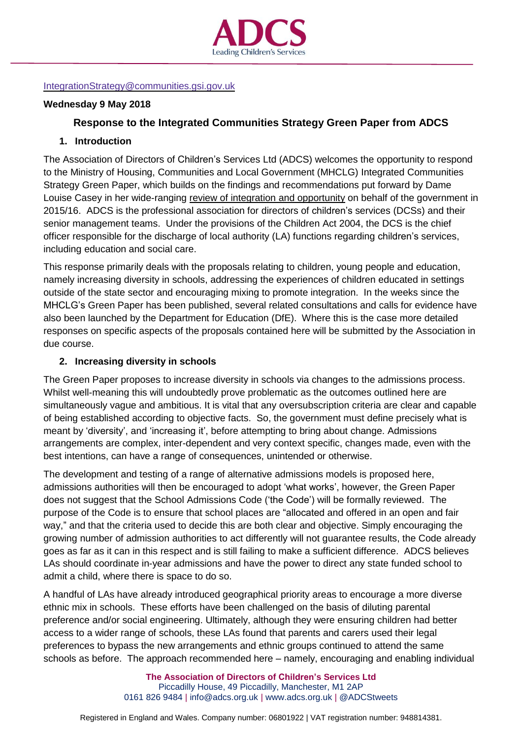

#### [IntegrationStrategy@communities.gsi.gov.uk](mailto:IntegrationStrategy@communities.gsi.gov.uk)

### **Wednesday 9 May 2018**

## **Response to the Integrated Communities Strategy Green Paper from ADCS**

## **1. Introduction**

The Association of Directors of Children's Services Ltd (ADCS) welcomes the opportunity to respond to the Ministry of Housing, Communities and Local Government (MHCLG) Integrated Communities Strategy Green Paper, which builds on the findings and recommendations put forward by Dame Louise Casey in her wide-ranging review of integration and [opportunity](https://assets.publishing.service.gov.uk/government/uploads/system/uploads/attachment_data/file/575973/The_Casey_Review_Report.pdf) on behalf of the government in 2015/16. ADCS is the professional association for directors of children's services (DCSs) and their senior management teams. Under the provisions of the Children Act 2004, the DCS is the chief officer responsible for the discharge of local authority (LA) functions regarding children's services, including education and social care.

This response primarily deals with the proposals relating to children, young people and education, namely increasing diversity in schools, addressing the experiences of children educated in settings outside of the state sector and encouraging mixing to promote integration. In the weeks since the MHCLG's Green Paper has been published, several related consultations and calls for evidence have also been launched by the Department for Education (DfE). Where this is the case more detailed responses on specific aspects of the proposals contained here will be submitted by the Association in due course.

#### **2. Increasing diversity in schools**

The Green Paper proposes to increase diversity in schools via changes to the admissions process. Whilst well-meaning this will undoubtedly prove problematic as the outcomes outlined here are simultaneously vague and ambitious. It is vital that any oversubscription criteria are clear and capable of being established according to objective facts. So, the government must define precisely what is meant by 'diversity', and 'increasing it', before attempting to bring about change. Admissions arrangements are complex, inter-dependent and very context specific, changes made, even with the best intentions, can have a range of consequences, unintended or otherwise.

The development and testing of a range of alternative admissions models is proposed here, admissions authorities will then be encouraged to adopt 'what works', however, the Green Paper does not suggest that the School Admissions Code ('the Code') will be formally reviewed. The purpose of the Code is to ensure that school places are "allocated and offered in an open and fair way," and that the criteria used to decide this are both clear and objective. Simply encouraging the growing number of admission authorities to act differently will not guarantee results, the Code already goes as far as it can in this respect and is still failing to make a sufficient difference. ADCS believes LAs should coordinate in-year admissions and have the power to direct any state funded school to admit a child, where there is space to do so.

A handful of LAs have already introduced geographical priority areas to encourage a more diverse ethnic mix in schools. These efforts have been challenged on the basis of diluting parental preference and/or social engineering. Ultimately, although they were ensuring children had better access to a wider range of schools, these LAs found that parents and carers used their legal preferences to bypass the new arrangements and ethnic groups continued to attend the same schools as before. The approach recommended here – namely, encouraging and enabling individual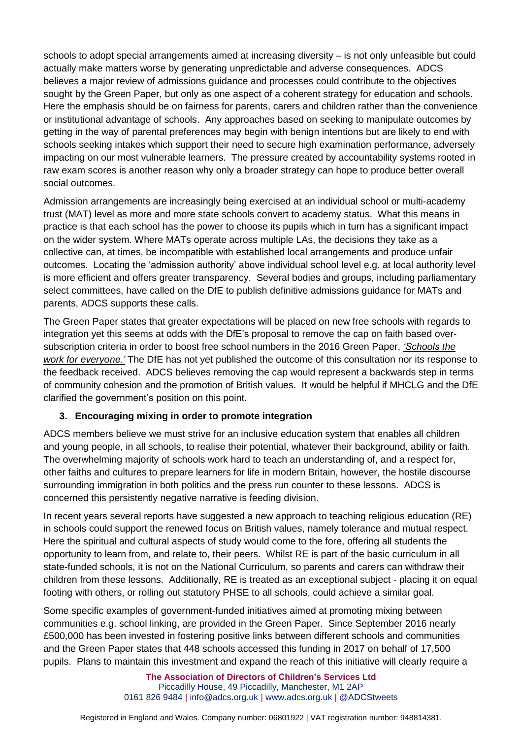schools to adopt special arrangements aimed at increasing diversity – is not only unfeasible but could actually make matters worse by generating unpredictable and adverse consequences. ADCS believes a major review of admissions guidance and processes could contribute to the objectives sought by the Green Paper, but only as one aspect of a coherent strategy for education and schools. Here the emphasis should be on fairness for parents, carers and children rather than the convenience or institutional advantage of schools. Any approaches based on seeking to manipulate outcomes by getting in the way of parental preferences may begin with benign intentions but are likely to end with schools seeking intakes which support their need to secure high examination performance, adversely impacting on our most vulnerable learners. The pressure created by accountability systems rooted in raw exam scores is another reason why only a broader strategy can hope to produce better overall social outcomes.

Admission arrangements are increasingly being exercised at an individual school or multi-academy trust (MAT) level as more and more state schools convert to academy status. What this means in practice is that each school has the power to choose its pupils which in turn has a significant impact on the wider system. Where MATs operate across multiple LAs, the decisions they take as a collective can, at times, be incompatible with established local arrangements and produce unfair outcomes. Locating the 'admission authority' above individual school level e.g. at local authority level is more efficient and offers greater transparency. Several bodies and groups, including parliamentary select committees, have called on the DfE to publish definitive admissions guidance for MATs and parents, ADCS supports these calls.

The Green Paper states that greater expectations will be placed on new free schools with regards to integration yet this seems at odds with the DfE's proposal to remove the cap on faith based oversubscription criteria in order to boost free school numbers in the 2016 Green Paper, *['Schools](https://consult.education.gov.uk/school-frameworks/schools-that-work-for-everyone/supporting_documents/SCHOOLS%20THAT%20WORK%20FOR%20EVERYONE%20%20FINAL.PDF) the work for [everyone.'](https://consult.education.gov.uk/school-frameworks/schools-that-work-for-everyone/supporting_documents/SCHOOLS%20THAT%20WORK%20FOR%20EVERYONE%20%20FINAL.PDF)* The DfE has not yet published the outcome of this consultation nor its response to the feedback received. ADCS believes removing the cap would represent a backwards step in terms of community cohesion and the promotion of British values. It would be helpful if MHCLG and the DfE clarified the government's position on this point.

# **3. Encouraging mixing in order to promote integration**

ADCS members believe we must strive for an inclusive education system that enables all children and young people, in all schools, to realise their potential, whatever their background, ability or faith. The overwhelming majority of schools work hard to teach an understanding of, and a respect for, other faiths and cultures to prepare learners for life in modern Britain, however, the hostile discourse surrounding immigration in both politics and the press run counter to these lessons. ADCS is concerned this persistently negative narrative is feeding division.

In recent years several reports have suggested a new approach to teaching religious education (RE) in schools could support the renewed focus on British values, namely tolerance and mutual respect. Here the spiritual and cultural aspects of study would come to the fore, offering all students the opportunity to learn from, and relate to, their peers. Whilst RE is part of the basic curriculum in all state-funded schools, it is not on the National Curriculum, so parents and carers can withdraw their children from these lessons. Additionally, RE is treated as an exceptional subject - placing it on equal footing with others, or rolling out statutory PHSE to all schools, could achieve a similar goal.

Some specific examples of government-funded initiatives aimed at promoting mixing between communities e.g. school linking, are provided in the Green Paper. Since September 2016 nearly £500,000 has been invested in fostering positive links between different schools and communities and the Green Paper states that 448 schools accessed this funding in 2017 on behalf of 17,500 pupils. Plans to maintain this investment and expand the reach of this initiative will clearly require a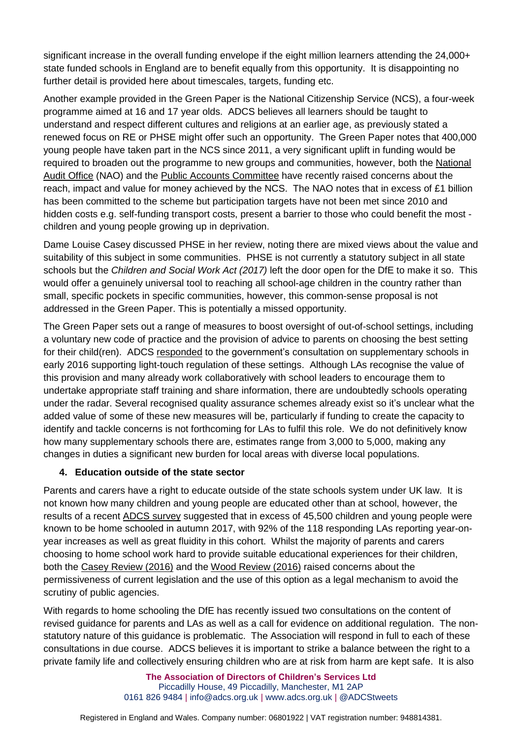significant increase in the overall funding envelope if the eight million learners attending the 24,000+ state funded schools in England are to benefit equally from this opportunity. It is disappointing no further detail is provided here about timescales, targets, funding etc.

Another example provided in the Green Paper is the National Citizenship Service (NCS), a four-week programme aimed at 16 and 17 year olds. ADCS believes all learners should be taught to understand and respect different cultures and religions at an earlier age, as previously stated a renewed focus on RE or PHSE might offer such an opportunity. The Green Paper notes that 400,000 young people have taken part in the NCS since 2011, a very significant uplift in funding would be required to broaden out the programme to new groups and communities, however, both the [National](https://www.nao.org.uk/report/national-citizen-service/) Audit [Office](https://www.nao.org.uk/report/national-citizen-service/) (NAO) and the Public Accounts [Committee](https://www.parliament.uk/business/committees/committees-a-z/commons-select/public-accounts-committee/news-parliament-2015/national-citizen-service-report-published-16-17/) have recently raised concerns about the reach, impact and value for money achieved by the NCS. The NAO notes that in excess of £1 billion has been committed to the scheme but participation targets have not been met since 2010 and hidden costs e.g. self-funding transport costs, present a barrier to those who could benefit the most children and young people growing up in deprivation.

Dame Louise Casey discussed PHSE in her review, noting there are mixed views about the value and suitability of this subject in some communities. PHSE is not currently a statutory subject in all state schools but the *Children and Social Work Act (2017)* left the door open for the DfE to make it so. This would offer a genuinely universal tool to reaching all school-age children in the country rather than small, specific pockets in specific communities, however, this common-sense proposal is not addressed in the Green Paper. This is potentially a missed opportunity.

The Green Paper sets out a range of measures to boost oversight of out-of-school settings, including a voluntary new code of practice and the provision of advice to parents on choosing the best setting for their child(ren). ADCS [responded](http://adcs.org.uk/education/article/out-of-school-education-settings-registration-and-inspection) to the government's consultation on supplementary schools in early 2016 supporting light-touch regulation of these settings. Although LAs recognise the value of this provision and many already work collaboratively with school leaders to encourage them to undertake appropriate staff training and share information, there are undoubtedly schools operating under the radar. Several recognised quality assurance schemes already exist so it's unclear what the added value of some of these new measures will be, particularly if funding to create the capacity to identify and tackle concerns is not forthcoming for LAs to fulfil this role. We do not definitively know how many supplementary schools there are, estimates range from 3,000 to 5,000, making any changes in duties a significant new burden for local areas with diverse local populations.

# **4. Education outside of the state sector**

Parents and carers have a right to educate outside of the state schools system under UK law. It is not known how many children and young people are educated other than at school, however, the results of a recent ADCS [survey](http://adcs.org.uk/assets/documentation/ADCS_EHE_Survey_Analysis_2017_FINAL.pdf) suggested that in excess of 45,500 children and young people were known to be home schooled in autumn 2017, with 92% of the 118 responding LAs reporting year-onyear increases as well as great fluidity in this cohort. Whilst the majority of parents and carers choosing to home school work hard to provide suitable educational experiences for their children, both the Casey [Review](https://assets.publishing.service.gov.uk/government/uploads/system/uploads/attachment_data/file/575973/The_Casey_Review_Report.pdf) (2016) and the Wood [Review](https://assets.publishing.service.gov.uk/government/uploads/system/uploads/attachment_data/file/526329/Alan_Wood_review.pdf) (2016) raised concerns about the permissiveness of current legislation and the use of this option as a legal mechanism to avoid the scrutiny of public agencies.

With regards to home schooling the DfE has recently issued two consultations on the content of revised guidance for parents and LAs as well as a call for evidence on additional regulation. The nonstatutory nature of this guidance is problematic. The Association will respond in full to each of these consultations in due course. ADCS believes it is important to strike a balance between the right to a private family life and collectively ensuring children who are at risk from harm are kept safe. It is also